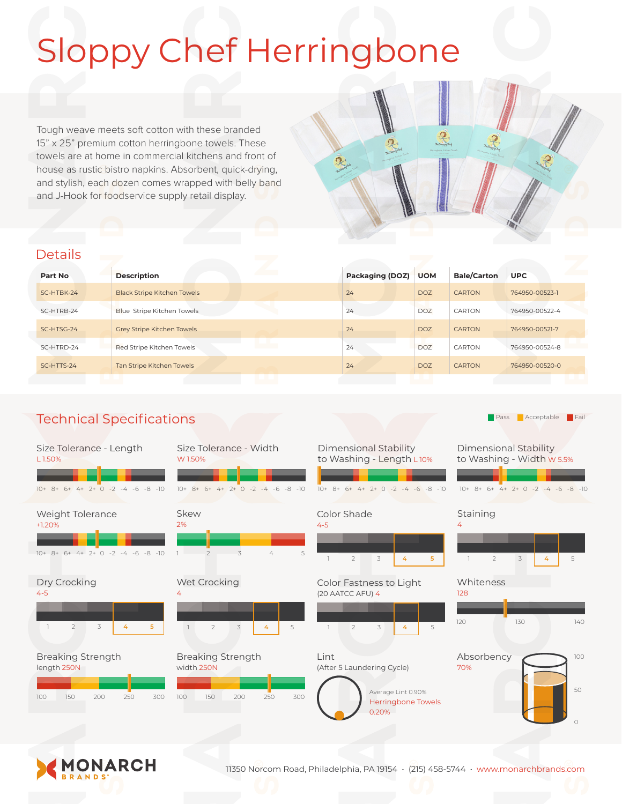# Sloppy Chef Herringbone

Tough weave meets soft cotton with these branded 15" x 25" premium cotton herringbone towels. These towels are at home in commercial kitchens and front of house as rustic bistro napkins. Absorbent, quick-drying, and stylish, each dozen comes wrapped with belly band and J-Hook for foodservice supply retail display.

### **Details**

| Part No    | <b>All Services</b><br><b>Description</b> | <b>Packaging (DOZ)</b> | <b>UOM</b>      | <b>Bale/Carton</b> | <b>UPC</b>     |
|------------|-------------------------------------------|------------------------|-----------------|--------------------|----------------|
| SC-HTBK-24 | <b>Black Stripe Kitchen Towels</b>        | 24                     | <b>DOZ</b>      | <b>CARTON</b>      | 764950-00523-1 |
| SC-HTRB-24 | Blue Stripe Kitchen Towels                | 24                     | DO <sub>7</sub> | CARTON             | 764950-00522-4 |
| SC-HTSG-24 | <b>Grey Stripe Kitchen Towels</b>         | 24                     | DO <sub>7</sub> | <b>CARTON</b>      | 764950-00521-7 |
| SC-HTRD-24 | Red Stripe Kitchen Towels                 | 24                     | <b>DOZ</b>      | CARTON             | 764950-00524-8 |
| SC-HTTS-24 | Tan Stripe Kitchen Towels                 | 24                     | DO <sub>7</sub> | <b>CARTON</b>      | 764950-00520-0 |

## Technical Specifications

| Size Tolerance - Length<br>L1.50%<br>$10+8+6+4+2+0-2-4-6-8-10$             | Size Tolerance - Width<br>W 1.50%<br>$10+8+6+4+2+0-2-4-6-8-10$            | Dimensional Stability<br>to Washing - Length L10%<br>$10+8+6+4+2+0-2-4-6-8-10$                 | Dimensional Stability<br>to Washing - Width w 5.5%<br>$10+8+6+4+2+0-2-4-6$<br>$-8 - 10$ |
|----------------------------------------------------------------------------|---------------------------------------------------------------------------|------------------------------------------------------------------------------------------------|-----------------------------------------------------------------------------------------|
| Weight Tolerance<br>$+1.20%$<br>$10+8+6+4+2+0-2-4-6-8-10$                  | Skew<br>2%<br>3<br>5<br>$\overline{z}$<br>4                               | Color Shade<br>$4 - 5$<br>$\overline{2}$<br>3<br>5<br>4                                        | Staining<br>4<br>$\overline{2}$<br>3<br>5<br>4                                          |
| Dry Crocking<br>$4 - 5$<br>$\overline{2}$<br>3<br>5 <sup>1</sup><br>4      | Wet Crocking<br>$\overline{2}$<br>$\mathcal{Z}$<br>5                      | Color Fastness to Light<br>(20 AATCC AFU) 4<br>$\overline{2}$<br>3<br>5                        | Whiteness<br>128<br>130<br>140<br>120                                                   |
| <b>Breaking Strength</b><br>length 250N<br>150<br>200<br>250<br>300<br>100 | <b>Breaking Strength</b><br>width 250N<br>300<br>100<br>150<br>200<br>250 | Lint<br>(After 5 Laundering Cycle)<br>Average Lint 0.90%<br><b>Herringbone Towels</b><br>0.20% | Absorbency<br>100<br>70%<br>50<br>$\bigcirc$                                            |









11350 Norcom Road, Philadelphia, PA 19154 • (215) 458-5744 • www.monarchbrands.com